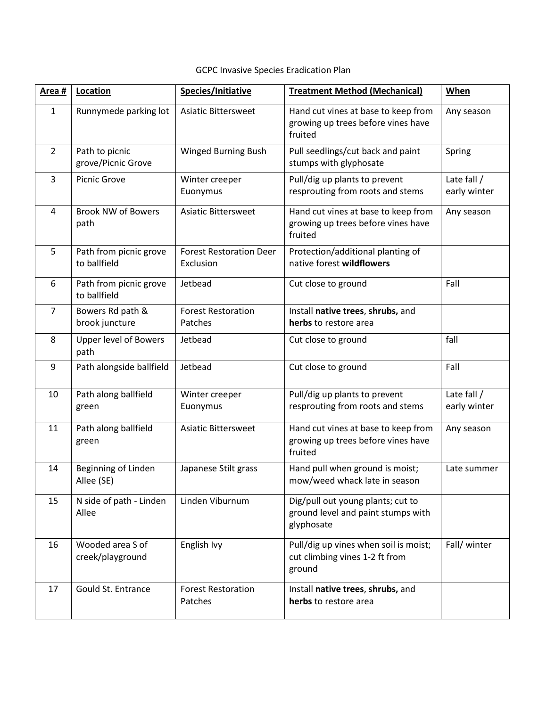## GCPC Invasive Species Eradication Plan

| Area #         | Location                               | Species/Initiative                          | <b>Treatment Method (Mechanical)</b>                                                  | When                        |
|----------------|----------------------------------------|---------------------------------------------|---------------------------------------------------------------------------------------|-----------------------------|
| $\mathbf{1}$   | Runnymede parking lot                  | <b>Asiatic Bittersweet</b>                  | Hand cut vines at base to keep from<br>growing up trees before vines have<br>fruited  | Any season                  |
| $\overline{2}$ | Path to picnic<br>grove/Picnic Grove   | Winged Burning Bush                         | Pull seedlings/cut back and paint<br>stumps with glyphosate                           | Spring                      |
| 3              | Picnic Grove                           | Winter creeper<br>Euonymus                  | Pull/dig up plants to prevent<br>resprouting from roots and stems                     | Late fall /<br>early winter |
| 4              | <b>Brook NW of Bowers</b><br>path      | <b>Asiatic Bittersweet</b>                  | Hand cut vines at base to keep from<br>growing up trees before vines have<br>fruited  | Any season                  |
| 5              | Path from picnic grove<br>to ballfield | <b>Forest Restoration Deer</b><br>Exclusion | Protection/additional planting of<br>native forest wildflowers                        |                             |
| 6              | Path from picnic grove<br>to ballfield | Jetbead                                     | Cut close to ground                                                                   | Fall                        |
| $\overline{7}$ | Bowers Rd path &<br>brook juncture     | <b>Forest Restoration</b><br>Patches        | Install native trees, shrubs, and<br>herbs to restore area                            |                             |
| 8              | <b>Upper level of Bowers</b><br>path   | Jetbead                                     | Cut close to ground                                                                   | fall                        |
| 9              | Path alongside ballfield               | Jetbead                                     | Cut close to ground                                                                   | Fall                        |
| 10             | Path along ballfield<br>green          | Winter creeper<br>Euonymus                  | Pull/dig up plants to prevent<br>resprouting from roots and stems                     | Late fall /<br>early winter |
| 11             | Path along ballfield<br>green          | <b>Asiatic Bittersweet</b>                  | Hand cut vines at base to keep from<br>growing up trees before vines have<br>fruited  | Any season                  |
| 14             | Beginning of Linden<br>Allee (SE)      | Japanese Stilt grass                        | Hand pull when ground is moist;<br>mow/weed whack late in season                      | Late summer                 |
| 15             | N side of path - Linden<br>Allee       | Linden Viburnum                             | Dig/pull out young plants; cut to<br>ground level and paint stumps with<br>glyphosate |                             |
| 16             | Wooded area S of<br>creek/playground   | English Ivy                                 | Pull/dig up vines when soil is moist;<br>cut climbing vines 1-2 ft from<br>ground     | Fall/ winter                |
| 17             | Gould St. Entrance                     | <b>Forest Restoration</b><br>Patches        | Install native trees, shrubs, and<br>herbs to restore area                            |                             |